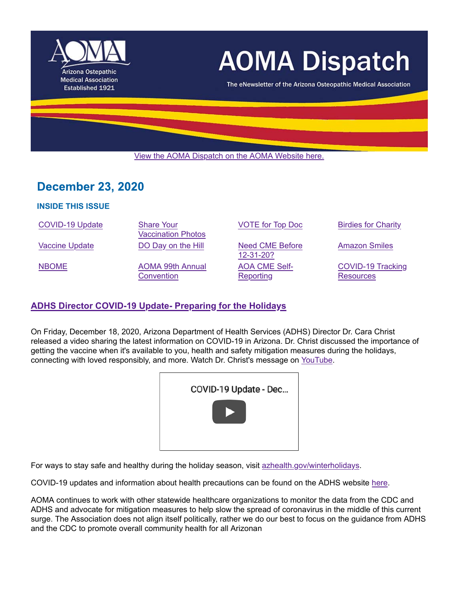

# **AOMA Dispatch**

The eNewsletter of the Arizona Osteopathic Medical Association

View the AOMA Dispatch on the AOMA Website here.

## **December 23, 2020**

#### **INSIDE THIS ISSUE**

| <b>COVID-19 Update</b> | <b>Share Your</b><br><b>Vaccination Photos</b> | <b>VOTE for Top Doc</b>           | <b>Birdies for Charity</b>                   |
|------------------------|------------------------------------------------|-----------------------------------|----------------------------------------------|
| <b>Vaccine Update</b>  | DO Day on the Hill                             | Need CME Before<br>12-31-20?      | <b>Amazon Smiles</b>                         |
| <b>NBOME</b>           | <b>AOMA 99th Annual</b><br>Convention          | <b>AOA CME Self-</b><br>Reporting | <b>COVID-19 Tracking</b><br><b>Resources</b> |

## **ADHS Director COVID-19 Update- Preparing for the Holidays**

On Friday, December 18, 2020, Arizona Department of Health Services (ADHS) Director Dr. Cara Christ released a video sharing the latest information on COVID-19 in Arizona. Dr. Christ discussed the importance of getting the vaccine when it's available to you, health and safety mitigation measures during the holidays, connecting with loved responsibly, and more. Watch Dr. Christ's message on YouTube.

| COVID-19 Update - Dec |
|-----------------------|
|                       |

For ways to stay safe and healthy during the holiday season, visit azhealth.gov/winterholidays.

COVID-19 updates and information about health precautions can be found on the ADHS website here.

AOMA continues to work with other statewide healthcare organizations to monitor the data from the CDC and ADHS and advocate for mitigation measures to help slow the spread of coronavirus in the middle of this current surge. The Association does not align itself politically, rather we do our best to focus on the guidance from ADHS and the CDC to promote overall community health for all Arizonan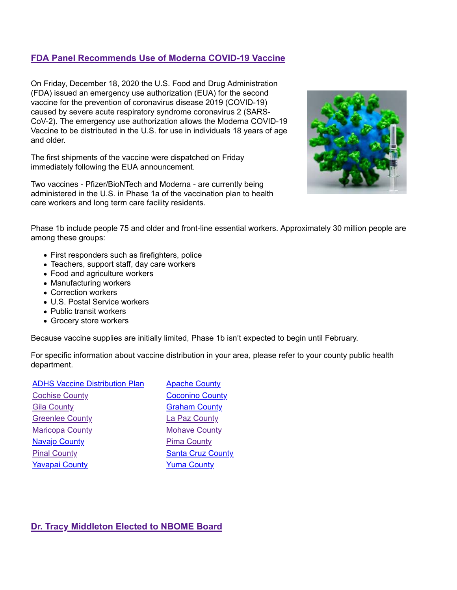## **FDA Panel Recommends Use of Moderna COVID-19 Vaccine**

On Friday, December 18, 2020 the U.S. Food and Drug Administration (FDA) issued an emergency use authorization (EUA) for the second vaccine for the prevention of coronavirus disease 2019 (COVID-19) caused by severe acute respiratory syndrome coronavirus 2 (SARS-CoV-2). The emergency use authorization allows the Moderna COVID-19 Vaccine to be distributed in the U.S. for use in individuals 18 years of age and older.

The first shipments of the vaccine were dispatched on Friday immediately following the EUA announcement.

Two vaccines - Pfizer/BioNTech and Moderna - are currently being administered in the U.S. in Phase 1a of the vaccination plan to health care workers and long term care facility residents.



Phase 1b include people 75 and older and front-line essential workers. Approximately 30 million people are among these groups:

- First responders such as firefighters, police
- Teachers, support staff, day care workers
- Food and agriculture workers
- Manufacturing workers
- Correction workers
- U.S. Postal Service workers
- Public transit workers
- Grocery store workers

Because vaccine supplies are initially limited, Phase 1b isn't expected to begin until February.

For specific information about vaccine distribution in your area, please refer to your county public health department.

| <b>ADHS Vaccine Distribution Plan</b> | <b>Apache County</b>     |
|---------------------------------------|--------------------------|
| <b>Cochise County</b>                 | <b>Coconino County</b>   |
| <b>Gila County</b>                    | <b>Graham County</b>     |
| <b>Greenlee County</b>                | La Paz County            |
| <b>Maricopa County</b>                | <b>Mohave County</b>     |
| <b>Navajo County</b>                  | <b>Pima County</b>       |
| <b>Pinal County</b>                   | <b>Santa Cruz County</b> |
| <b>Yavapai County</b>                 | <b>Yuma County</b>       |
|                                       |                          |

#### **Dr. Tracy Middleton Elected to NBOME Board**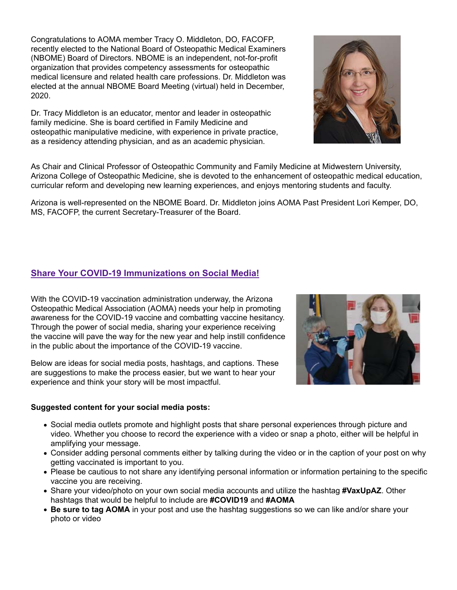Congratulations to AOMA member Tracy O. Middleton, DO, FACOFP, recently elected to the National Board of Osteopathic Medical Examiners (NBOME) Board of Directors. NBOME is an independent, not-for-profit organization that provides competency assessments for osteopathic medical licensure and related health care professions. Dr. Middleton was elected at the annual NBOME Board Meeting (virtual) held in December, 2020.

Dr. Tracy Middleton is an educator, mentor and leader in osteopathic family medicine. She is board certified in Family Medicine and osteopathic manipulative medicine, with experience in private practice, as a residency attending physician, and as an academic physician.

As Chair and Clinical Professor of Osteopathic Community and Family Medicine at Midwestern University, Arizona College of Osteopathic Medicine, she is devoted to the enhancement of osteopathic medical education, curricular reform and developing new learning experiences, and enjoys mentoring students and faculty.

Arizona is well-represented on the NBOME Board. Dr. Middleton joins AOMA Past President Lori Kemper, DO, MS, FACOFP, the current Secretary-Treasurer of the Board.

## **Share Your COVID-19 Immunizations on Social Media!**

With the COVID-19 vaccination administration underway, the Arizona Osteopathic Medical Association (AOMA) needs your help in promoting awareness for the COVID-19 vaccine and combatting vaccine hesitancy. Through the power of social media, sharing your experience receiving the vaccine will pave the way for the new year and help instill confidence in the public about the importance of the COVID-19 vaccine.

Below are ideas for social media posts, hashtags, and captions. These are suggestions to make the process easier, but we want to hear your experience and think your story will be most impactful.

#### **Suggested content for your social media posts:**

- Social media outlets promote and highlight posts that share personal experiences through picture and video. Whether you choose to record the experience with a video or snap a photo, either will be helpful in amplifying your message.
- Consider adding personal comments either by talking during the video or in the caption of your post on why getting vaccinated is important to you.
- Please be cautious to not share any identifying personal information or information pertaining to the specific vaccine you are receiving.
- Share your video/photo on your own social media accounts and utilize the hashtag **#VaxUpAZ**. Other hashtags that would be helpful to include are **#COVID19** and **#AOMA**
- **Be sure to tag AOMA** in your post and use the hashtag suggestions so we can like and/or share your photo or video



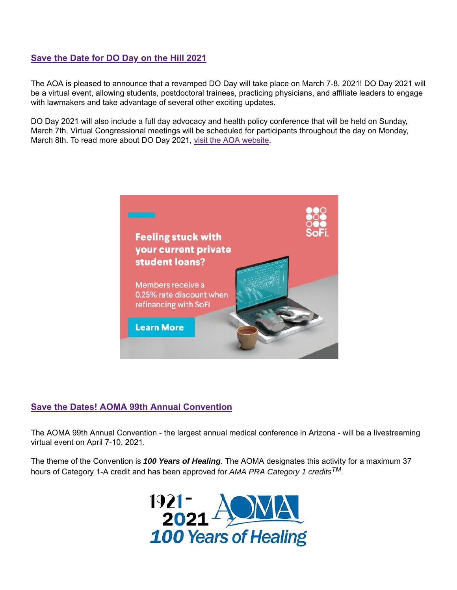## **Save the Date for DO Day on the Hill 2021**

The AOA is pleased to announce that a revamped DO Day will take place on March 7-8, 2021! DO Day 2021 will be a virtual event, allowing students, postdoctoral trainees, practicing physicians, and affiliate leaders to engage with lawmakers and take advantage of several other exciting updates.

DO Day 2021 will also include a full day advocacy and health policy conference that will be held on Sunday, March 7th. Virtual Congressional meetings will be scheduled for participants throughout the day on Monday, March 8th. To read more about DO Day 2021, visit the AOA website.



## **Save the Dates! AOMA 99th Annual Convention**

The AOMA 99th Annual Convention - the largest annual medical conference in Arizona - will be a livestreaming virtual event on April 7-10, 2021.

The theme of the Convention is *100 Years of Healing*. The AOMA designates this activity for a maximum 37 hours of Category 1-A credit and has been approved for *AMA PRA Category 1 creditsTM.*

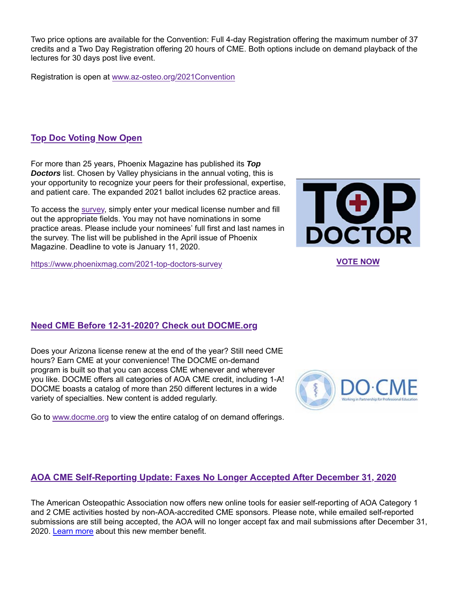Two price options are available for the Convention: Full 4-day Registration offering the maximum number of 37 credits and a Two Day Registration offering 20 hours of CME. Both options include on demand playback of the lectures for 30 days post live event.

Registration is open at www.az-osteo.org/2021Convention

## **Top Doc Voting Now Open**

For more than 25 years, Phoenix Magazine has published its *Top Doctors* list. Chosen by Valley physicians in the annual voting, this is your opportunity to recognize your peers for their professional, expertise, and patient care. The expanded 2021 ballot includes 62 practice areas.

To access the survey, simply enter your medical license number and fill out the appropriate fields. You may not have nominations in some practice areas. Please include your nominees' full first and last names in the survey. The list will be published in the April issue of Phoenix Magazine. Deadline to vote is January 11, 2020.

https://www.phoenixmag.com/2021-top-doctors-survey **VOTE NOW**



## **Need CME Before 12-31-2020? Check out DOCME.org**

Does your Arizona license renew at the end of the year? Still need CME hours? Earn CME at your convenience! The DOCME on-demand program is built so that you can access CME whenever and wherever you like. DOCME offers all categories of AOA CME credit, including 1-A! DOCME boasts a catalog of more than 250 different lectures in a wide variety of specialties. New content is added regularly.



Go to www.docme.org to view the entire catalog of on demand offerings.

## **AOA CME Self-Reporting Update: Faxes No Longer Accepted After December 31, 2020**

The American Osteopathic Association now offers new online tools for easier self-reporting of AOA Category 1 and 2 CME activities hosted by non-AOA-accredited CME sponsors. Please note, while emailed self-reported submissions are still being accepted, the AOA will no longer accept fax and mail submissions after December 31, 2020. Learn more about this new member benefit.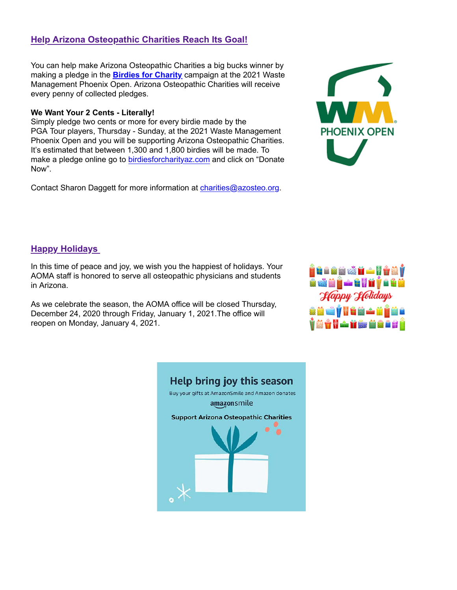## **Help Arizona Osteopathic Charities Reach Its Goal!**

You can help make Arizona Osteopathic Charities a big bucks winner by making a pledge in the **Birdies for Charity** campaign at the 2021 Waste Management Phoenix Open. Arizona Osteopathic Charities will receive every penny of collected pledges.

#### **We Want Your 2 Cents - Literally!**

Simply pledge two cents or more for every birdie made by the PGA Tour players, Thursday - Sunday, at the 2021 Waste Management Phoenix Open and you will be supporting Arizona Osteopathic Charities. It's estimated that between 1,300 and 1,800 birdies will be made. To make a pledge online go to birdiesforcharityaz.com and click on "Donate Now".

Contact Sharon Daggett for more information at charities@azosteo.org.



## **Happy Holidays**

In this time of peace and joy, we wish you the happiest of holidays. Your AOMA staff is honored to serve all osteopathic physicians and students in Arizona.

As we celebrate the season, the AOMA office will be closed Thursday, December 24, 2020 through Friday, January 1, 2021.The office will reopen on Monday, January 4, 2021.